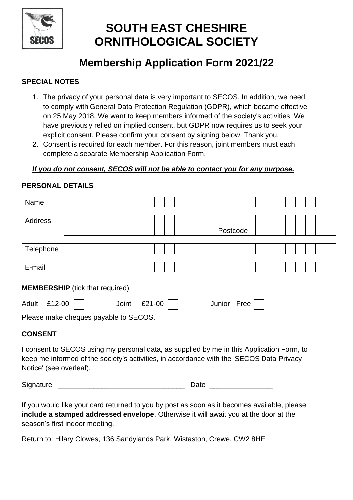

# **SOUTH EAST CHESHIRE ORNITHOLOGICAL SOCIETY**

## **Membership Application Form 2021/22**

### **SPECIAL NOTES**

- 1. The privacy of your personal data is very important to SECOS. In addition, we need to comply with General Data Protection Regulation (GDPR), which became effective on 25 May 2018. We want to keep members informed of the society's activities. We have previously relied on implied consent, but GDPR now requires us to seek your explicit consent. Please confirm your consent by signing below. Thank you.
- 2. Consent is required for each member. For this reason, joint members must each complete a separate Membership Application Form.

#### *If you do not consent, SECOS will not be able to contact you for any purpose.*

| Name                                                                                                                                                                                                             |  |  |  |  |  |  |  |  |      |  |  |  |  |  |  |          |  |  |  |  |  |  |  |  |  |  |  |
|------------------------------------------------------------------------------------------------------------------------------------------------------------------------------------------------------------------|--|--|--|--|--|--|--|--|------|--|--|--|--|--|--|----------|--|--|--|--|--|--|--|--|--|--|--|
|                                                                                                                                                                                                                  |  |  |  |  |  |  |  |  |      |  |  |  |  |  |  |          |  |  |  |  |  |  |  |  |  |  |  |
| Address                                                                                                                                                                                                          |  |  |  |  |  |  |  |  |      |  |  |  |  |  |  |          |  |  |  |  |  |  |  |  |  |  |  |
|                                                                                                                                                                                                                  |  |  |  |  |  |  |  |  |      |  |  |  |  |  |  | Postcode |  |  |  |  |  |  |  |  |  |  |  |
|                                                                                                                                                                                                                  |  |  |  |  |  |  |  |  |      |  |  |  |  |  |  |          |  |  |  |  |  |  |  |  |  |  |  |
| Telephone                                                                                                                                                                                                        |  |  |  |  |  |  |  |  |      |  |  |  |  |  |  |          |  |  |  |  |  |  |  |  |  |  |  |
|                                                                                                                                                                                                                  |  |  |  |  |  |  |  |  |      |  |  |  |  |  |  |          |  |  |  |  |  |  |  |  |  |  |  |
| E-mail                                                                                                                                                                                                           |  |  |  |  |  |  |  |  |      |  |  |  |  |  |  |          |  |  |  |  |  |  |  |  |  |  |  |
| <b>MEMBERSHIP</b> (tick that required)<br>Adult £12-00  <br>Joint<br>£21-00    <br>Junior Free<br>Please make cheques payable to SECOS.                                                                          |  |  |  |  |  |  |  |  |      |  |  |  |  |  |  |          |  |  |  |  |  |  |  |  |  |  |  |
| <b>CONSENT</b>                                                                                                                                                                                                   |  |  |  |  |  |  |  |  |      |  |  |  |  |  |  |          |  |  |  |  |  |  |  |  |  |  |  |
| I consent to SECOS using my personal data, as supplied by me in this Application Form, to<br>keep me informed of the society's activities, in accordance with the 'SECOS Data Privacy<br>Notice' (see overleaf). |  |  |  |  |  |  |  |  |      |  |  |  |  |  |  |          |  |  |  |  |  |  |  |  |  |  |  |
| Signature                                                                                                                                                                                                        |  |  |  |  |  |  |  |  | Date |  |  |  |  |  |  |          |  |  |  |  |  |  |  |  |  |  |  |
| وممامي والمائون ومستموم واللارمون ومموم ممراومين والتمرز والموسس بامس وسواد ويتمرز وبائل اواريمين يبريرا                                                                                                         |  |  |  |  |  |  |  |  |      |  |  |  |  |  |  |          |  |  |  |  |  |  |  |  |  |  |  |

#### **PERSONAL DETAILS**

If you would like your card returned to you by post as soon as it becomes available, please **include a stamped addressed envelope**. Otherwise it will await you at the door at the season's first indoor meeting.

Return to: Hilary Clowes, 136 Sandylands Park, Wistaston, Crewe, CW2 8HE